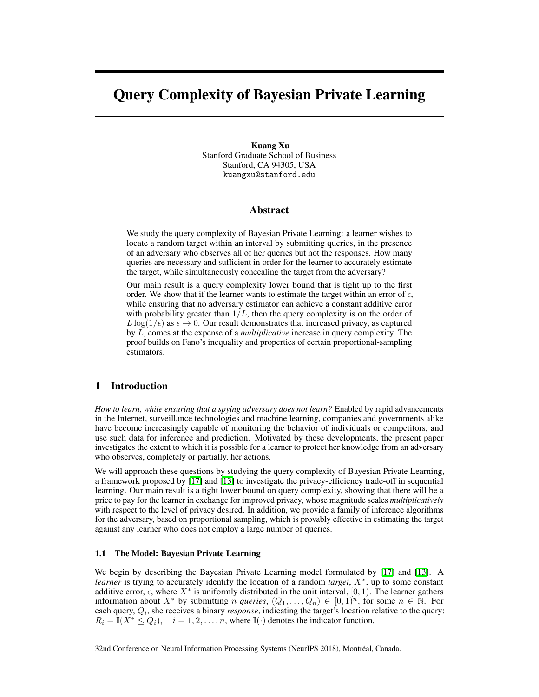# <span id="page-0-1"></span>Query Complexity of Bayesian Private Learning

Kuang Xu Stanford Graduate School of Business Stanford, CA 94305, USA kuangxu@stanford.edu

## Abstract

<span id="page-0-4"></span>We study the query complexity of Bayesian Private Learning: a learner wishes to locate a random target within an interval by submitting queries, in the presence of an adversary who observes all of her queries but not the responses. How many queries are necessary and sufficient in order for the learner to accurately estimate the target, while simultaneously concealing the target from the adversary?

<span id="page-0-0"></span>Our main result is a query complexity lower bound that is tight up to the first order. We show that if the learner wants to estimate the target within an error of  $\epsilon$ , while ensuring that no adversary estimator can achieve a constant additive error with probability greater than  $1/L$ , then the query complexity is on the order of  $L \log(1/\epsilon)$  as  $\epsilon \to 0$ . Our result demonstrates that increased privacy, as captured by *L*, comes at the expense of a *multiplicative* increase in query complexity. The proof builds on Fano's inequality and properties of certain proportional-sampling estimators.

# <span id="page-0-5"></span>1 Introduction

<span id="page-0-3"></span>*How to learn, while ensuring that a spying adversary does not learn?* Enabled by rapid advancements in the Internet, surveillance technologies and machine learning, companies and governments alike have become increasingly capable of monitoring the behavior of individuals or competitors, and use such data for inference and prediction. Motivated by these developments, the present paper investigates the extent to which it is possible for a learner to protect her knowledge from an adversary who observes, completely or partially, her actions.

<span id="page-0-2"></span>We will approach these questions by studying the query complexity of Bayesian Private Learning, a framework proposed by  $\boxed{17}$  and  $\boxed{13}$  to investigate the privacy-efficiency trade-off in sequential learning. Our main result is a tight lower bound on query complexity, showing that there will be a price to pay for the learner in exchange for improved privacy, whose magnitude scales *multiplicatively* with respect to the level of privacy desired. In addition, we provide a family of inference algorithms for the adversary, based on proportional sampling, which is provably effective in estimating the target against any learner who does not employ a large number of queries.

#### 1.1 The Model: Bayesian Private Learning

We begin by describing the Bayesian Private Learning model formulated by  $[17]$  and  $[13]$ . A *learner* is trying to accurately identify the location of a random *target*,  $X^*$ , up to some constant additive error,  $\epsilon$ , where  $X^*$  is uniformly distributed in the unit interval, [0, 1). The learner gathers information about  $X^*$  by submitting *n queries*,  $(Q_1, \ldots, Q_n) \in [0,1)^n$ , for some  $n \in \mathbb{N}$ . For each query, *Qi*, she receives a binary *response*, indicating the target's location relative to the query:  $R_i = \mathbb{I}(X^* \leq Q_i), \quad i = 1, 2, \dots, n$ , where  $\mathbb{I}(\cdot)$  denotes the indicator function.

32nd Conference on Neural Information Processing Systems (NeurIPS 2018), Montréal, Canada.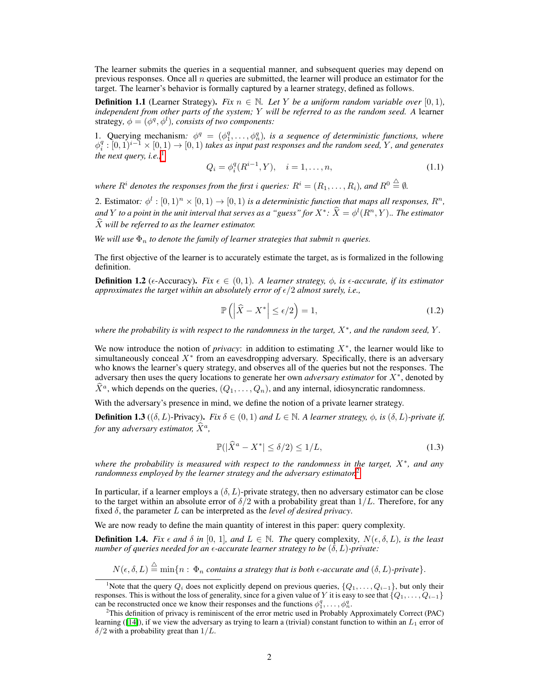The learner submits the queries in a sequential manner, and subsequent queries may depend on previous responses. Once all *n* queries are submitted, the learner will produce an estimator for the target. The learner's behavior is formally captured by a learner strategy, defined as follows.

<span id="page-1-2"></span>**Definition 1.1** (Learner Strategy). *Fix*  $n \in \mathbb{N}$ *. Let Y be a uniform random variable over* [0, 1]*, independent from other parts of the system; Y will be referred to as the random seed. A* learner strategy,  $\phi = (\phi^q, \phi^l)$ , consists of two components:

1. Querying mechanism:  $\phi^q = (\phi_1^q, \ldots, \phi_n^q)$ , is a sequence of deterministic functions, where  $\phi_i^q : [0,1)^{i-1} \times [0,1) \to [0,1)$  takes as input past responses and the random seed, *Y*, and generates *the next query, i.e.*, $\frac{1}{2}$  $\frac{1}{2}$  $\frac{1}{2}$ 

$$
Q_i = \phi_i^q(R^{i-1}, Y), \quad i = 1, \dots, n,
$$
\n(1.1)

*where*  $R^i$  *denotes the responses from the first i queries:*  $R^i = (R_1, \ldots, R_i)$ *, and*  $R^0 \stackrel{\triangle}{=} \emptyset$ *.* 

2. Estimator:  $\phi^l : [0,1]^n \times [0,1) \rightarrow [0,1]$  is a deterministic function that maps all responses,  $R^n$ , and *Y* to a point in the unit interval that serves as a "guess" for  $X^*$ :  $\hat{X} = \phi^l(R^n, Y)$ .. The estimator *X*b *will be referred to as the learner estimator.*

*We will use*  $\Phi_n$  *to denote the family of learner strategies that submit n queries.* 

The first objective of the learner is to accurately estimate the target, as is formalized in the following definition.

<span id="page-1-3"></span>**Definition 1.2** ( $\epsilon$ -Accuracy). *Fix*  $\epsilon \in (0,1)$ . A learner strategy,  $\phi$ , is  $\epsilon$ -accurate, if its estimator *approximates the target within an absolutely error of*  $\epsilon/2$  *almost surely, i.e.,* 

$$
\mathbb{P}\left(\left|\widehat{X} - X^*\right| \le \epsilon/2\right) = 1,\tag{1.2}
$$

*where the probability is with respect to the randomness in the target,*  $X^*$ *, and the random seed,*  $Y$ *.* 

We now introduce the notion of *privacy*: in addition to estimating  $X^*$ , the learner would like to simultaneously conceal  $X^*$  from an eavesdropping adversary. Specifically, there is an adversary who knows the learner's query strategy, and observes all of the queries but not the responses. The adversary then uses the query locations to generate her own *adversary estimator* for  $X^*$ , denoted by  $\widehat{X}^a$ , which depends on the queries,  $(Q_1, \ldots, Q_n)$ , and any internal, idiosyncratic randomness.

With the adversary's presence in mind, we define the notion of a private learner strategy.

**Definition 1.3** (( $\delta$ , L)-Privacy). *Fix*  $\delta \in (0,1)$  *and*  $L \in \mathbb{N}$ . A learner strategy,  $\phi$ , is ( $\delta$ , L)-private if, *for* any *adversary estimator*,  $\dot{X}^a$ *,* 

$$
\mathbb{P}(|\hat{X}^a - X^*| \le \delta/2) \le 1/L,\tag{1.3}
$$

*where the probability is measured with respect to the randomness in the target,*  $X^*$ *, and any randomness employed by the learner strategy and the adversary estimator*.

In particular, if a learner employs a  $(\delta, L)$ -private strategy, then no adversary estimator can be close to the target within an absolute error of  $\delta/2$  with a probability great than  $1/L$ . Therefore, for any fixed  $\delta$ , the parameter  $L$  can be interpreted as the *level of desired privacy*.

We are now ready to define the main quantity of interest in this paper: query complexity.

**Definition 1.4.** Fix  $\epsilon$  and  $\delta$  in [0, 1], and  $L \in \mathbb{N}$ . The query complexity,  $N(\epsilon, \delta, L)$ , is the least *number of queries needed for an*  $\epsilon$ *-accurate learner strategy to be*  $(\delta, L)$ -private:

 $N(\epsilon, \delta, L) \stackrel{\triangle}{=} \min\{n : \Phi_n \text{ contains a strategy that is both } \epsilon\text{-accurate and } (\delta, L)\text{-private}\}.$ 

<span id="page-1-0"></span>Note that the query  $Q_i$  does not explicitly depend on previous queries,  $\{Q_1, \ldots, Q_{i-1}\}$ , but only their responses. This is without the loss of generality, since for a given value of *Y* it is easy to see that  $\{Q_1, \ldots, Q_{i-1}\}$ can be reconstructed once we know their responses and the functions  $\phi_1^q, \ldots, \phi_n^q$ .<br><sup>2</sup>This definition of privacy is reminiscent of the error metric used in **Probably** 

<span id="page-1-1"></span> $2$ This definition of privacy is reminiscent of the error metric used in Probably Approximately Correct (PAC) learning ( $[14]$ ), if we view the adversary as trying to learn a (trivial) constant function to within an  $L_1$  error of  $\delta/2$  with a probability great than  $1/L$ .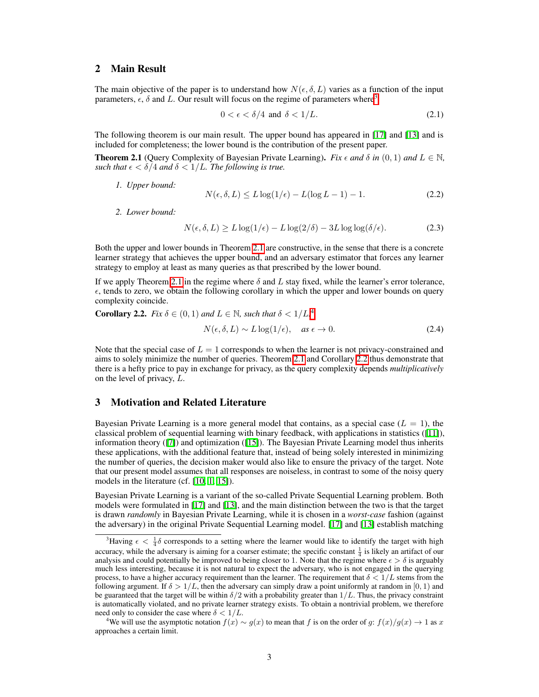# 2 Main Result

The main objective of the paper is to understand how  $N(\epsilon, \delta, L)$  varies as a function of the input parameters,  $\epsilon$ ,  $\delta$  and *L*. Our result will focus on the regime of parameters where<sup>3</sup>

$$
0 < \epsilon < \delta/4 \text{ and } \delta < 1/L. \tag{2.1}
$$

The following theorem is our main result. The upper bound has appeared in  $\boxed{17}$  and  $\boxed{13}$  and is included for completeness; the lower bound is the contribution of the present paper.

<span id="page-2-1"></span>**Theorem 2.1** (Query Complexity of Bayesian Private Learning). Fix  $\epsilon$  and  $\delta$  in  $(0,1)$  and  $L \in \mathbb{N}$ , *such that*  $\epsilon < \delta/4$  *and*  $\delta < 1/L$ *. The following is true.* 

*1. Upper bound:*

$$
N(\epsilon, \delta, L) \le L \log(1/\epsilon) - L(\log L - 1) - 1. \tag{2.2}
$$

*2. Lower bound:*

$$
N(\epsilon, \delta, L) \ge L \log(1/\epsilon) - L \log(2/\delta) - 3L \log \log(\delta/\epsilon). \tag{2.3}
$$

Both the upper and lower bounds in Theorem  $[2.1]$  are constructive, in the sense that there is a concrete learner strategy that achieves the upper bound, and an adversary estimator that forces any learner strategy to employ at least as many queries as that prescribed by the lower bound.

If we apply Theorem  $2.1$  in the regime where  $\delta$  and L stay fixed, while the learner's error tolerance,  $\epsilon$ , tends to zero, we obtain the following corollary in which the upper and lower bounds on query complexity coincide.

<span id="page-2-3"></span>**Corollary 2.2.** Fix 
$$
\delta \in (0, 1)
$$
 and  $L \in \mathbb{N}$ , such that  $\delta < 1/L$ .<sup>F</sup>  
 $N(\epsilon, \delta, L) \sim L \log(1/\epsilon)$ , as  $\epsilon \to 0$ . (2.4)

Note that the special case of  $L = 1$  corresponds to when the learner is not privacy-constrained and aims to solely minimize the number of queries. Theorem  $2.1$  and Corollary  $2.2$  thus demonstrate that there is a hefty price to pay in exchange for privacy, as the query complexity depends *multiplicatively* on the level of privacy, *L*.

# 3 Motivation and Related Literature

Bayesian Private Learning is a more general model that contains, as a special case  $(L = 1)$ , the classical problem of sequential learning with binary feedback, with applications in statistics ( $\boxed{11}$ ), information theory  $(\sqrt{2})$  and optimization  $(\sqrt{15})$ . The Bayesian Private Learning model thus inherits these applications, with the additional feature that, instead of being solely interested in minimizing the number of queries, the decision maker would also like to ensure the privacy of the target. Note that our present model assumes that all responses are noiseless, in contrast to some of the noisy query models in the literature (cf.  $[10, 1, 15]$  $[10, 1, 15]$  $[10, 1, 15]$ ).

Bayesian Private Learning is a variant of the so-called Private Sequential Learning problem. Both models were formulated in  $\boxed{17}$  and  $\boxed{13}$ , and the main distinction between the two is that the target is drawn *randomly* in Bayesian Private Learning, while it is chosen in a *worst-case* fashion (against the adversary) in the original Private Sequential Learning model.  $\boxed{17}$  and  $\boxed{13}$  establish matching

<span id="page-2-0"></span><sup>&</sup>lt;sup>3</sup>Having  $\epsilon < \frac{1}{4}\delta$  corresponds to a setting where the learner would like to identify the target with high accuracy, while the adversary is aiming for a coarser estimate; the specific constant  $\frac{1}{4}$  is likely an artifact of our analysis and could potentially be improved to being closer to 1. Note that the regime where  $\epsilon > \delta$  is arguably much less interesting, because it is not natural to expect the adversary, who is not engaged in the querying process, to have a higher accuracy requirement than the learner. The requirement that  $\delta < 1/L$  stems from the following argument. If  $\delta > 1/L$ , then the adversary can simply draw a point uniformly at random in [0, 1) and be guaranteed that the target will be within  $\delta/2$  with a probability greater than  $1/L$ . Thus, the privacy constraint is automatically violated, and no private learner strategy exists. To obtain a nontrivial problem, we therefore need only to consider the case where  $\delta < 1/L$ .

<span id="page-2-2"></span><sup>&</sup>lt;sup>4</sup>We will use the asymptotic notation  $f(x) \sim g(x)$  to mean that *f* is on the order of *g*:  $f(x)/g(x) \to 1$  as *x* approaches a certain limit.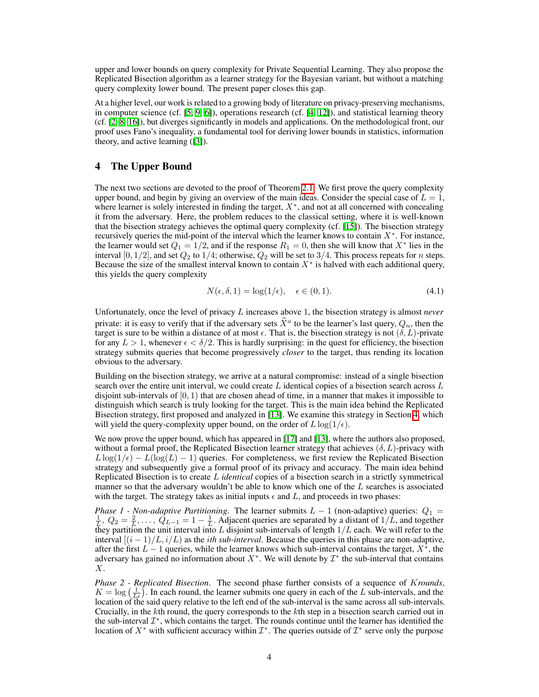upper and lower bounds on query complexity for Private Sequential Learning. They also propose the Replicated Bisection algorithm as a learner strategy for the Bayesian variant, but without a matching query complexity lower bound. The present paper closes this gap.

At a higher level, our work is related to a growing body of literature on privacy-preserving mechanisms, in computer science (cf.  $[5, 9, 6]$  $[5, 9, 6]$  $[5, 9, 6]$  $[5, 9, 6]$  $[5, 9, 6]$ ), operations research (cf.  $[4, 12]$  $[4, 12]$  $[4, 12]$ ), and statistical learning theory (cf.  $[2, 8, 16]$  $[2, 8, 16]$  $[2, 8, 16]$  $[2, 8, 16]$  $[2, 8, 16]$ ), but diverges significantly in models and applications. On the methodological front, our proof uses Fano's inequality, a fundamental tool for deriving lower bounds in statistics, information theory, and active learning  $([3])$  $([3])$  $([3])$ .

# <span id="page-3-0"></span>4 The Upper Bound

The next two sections are devoted to the proof of Theorem [2.1.](#page-2-1) We first prove the query complexity upper bound, and begin by giving an overview of the main ideas. Consider the special case of  $L = 1$ , where learner is solely interested in finding the target,  $X^*$ , and not at all concerned with concealing it from the adversary. Here, the problem reduces to the classical setting, where it is well-known that the bisection strategy achieves the optimal query complexity (cf.  $[15]$ ). The bisection strategy recursively queries the mid-point of the interval which the learner knows to contain  $X^*$ . For instance, the learner would set  $Q_1 = 1/2$ , and if the response  $R_1 = 0$ , then she will know that  $X^*$  lies in the interval [0,  $1/2$ ], and set  $Q_2$  to  $1/4$ ; otherwise,  $Q_2$  will be set to  $3/4$ . This process repeats for *n* steps. Because the size of the smallest interval known to contain  $X^*$  is halved with each additional query, this yields the query complexity

$$
N(\epsilon, \delta, 1) = \log(1/\epsilon), \quad \epsilon \in (0, 1). \tag{4.1}
$$

Unfortunately, once the level of privacy *L* increases above 1, the bisection strategy is almost *never* private: it is easy to verify that if the adversary sets  $\hat{X}^a$  to be the learner's last query,  $Q_n$ , then the target is sure to be within a distance of at most  $\epsilon$ . That is, the bisection strategy is not  $(\delta, L)$ -private for any  $L > 1$ , whenever  $\epsilon < \delta/2$ . This is hardly surprising: in the quest for efficiency, the bisection strategy submits queries that become progressively *closer* to the target, thus rending its location obvious to the adversary.

Building on the bisection strategy, we arrive at a natural compromise: instead of a single bisection search over the entire unit interval, we could create *L* identical copies of a bisection search across *L* disjoint sub-intervals of  $[0, 1)$  that are chosen ahead of time, in a manner that makes it impossible to distinguish which search is truly looking for the target. This is the main idea behind the Replicated Bisection strategy, first proposed and analyzed in  $\boxed{13}$ . We examine this strategy in Section  $\boxed{4}$ , which will yield the query-complexity upper bound, on the order of  $L \log(1/\epsilon)$ .

We now prove the upper bound, which has appeared in  $[17]$  and  $[13]$ , where the authors also proposed, without a formal proof, the Replicated Bisection learner strategy that achieves  $(\delta, L)$ -privacy with  $L\log(1/\epsilon) - L(\log(L) - 1)$  queries. For completeness, we first review the Replicated Bisection strategy and subsequently give a formal proof of its privacy and accuracy. The main idea behind Replicated Bisection is to create *L identical* copies of a bisection search in a strictly symmetrical manner so that the adversary wouldn't be able to know which one of the L searches is associated with the target. The strategy takes as initial inputs  $\epsilon$  and  $L$ , and proceeds in two phases:

*Phase 1 - Non-adaptive Partitioning*. The learner submits  $L - 1$  (non-adaptive) queries:  $Q_1 =$  $\frac{1}{L}$ ,  $Q_2 = \frac{2}{L}$ ,  $\ldots$ ,  $Q_{L-1} = 1 - \frac{1}{L}$ . Adjacent queries are separated by a distant of  $1/L$ , and together they partition the unit interval into *L* disjoint sub-intervals of length 1*/L* each. We will refer to the interval  $[(i - 1)/L, i/L]$  as the *i*th sub-interval. Because the queries in this phase are non-adaptive, after the first  $L-1$  queries, while the learner knows which sub-interval contains the target,  $X^*$ , the adversary has gained no information about  $X^*$ . We will denote by  $\mathcal{I}^*$  the sub-interval that contains *X*.

*Phase 2 - Replicated Bisection*. The second phase further consists of a sequence of *Krounds*,  $K = \log \left( \frac{1}{L \epsilon} \right)$ . In each round, the learner submits one query in each of the *L* sub-intervals, and the location of the said query relative to the left end of the sub-interval is the same across all sub-intervals. Crucially, in the *k*th round, the query corresponds to the *k*th step in a bisection search carried out in the sub-interval  $\mathcal{I}^*$ , which contains the target. The rounds continue until the learner has identified the location of  $X^*$  with sufficient accuracy within  $\mathcal{I}^*$ . The queries outside of  $\mathcal{I}^*$  serve only the purpose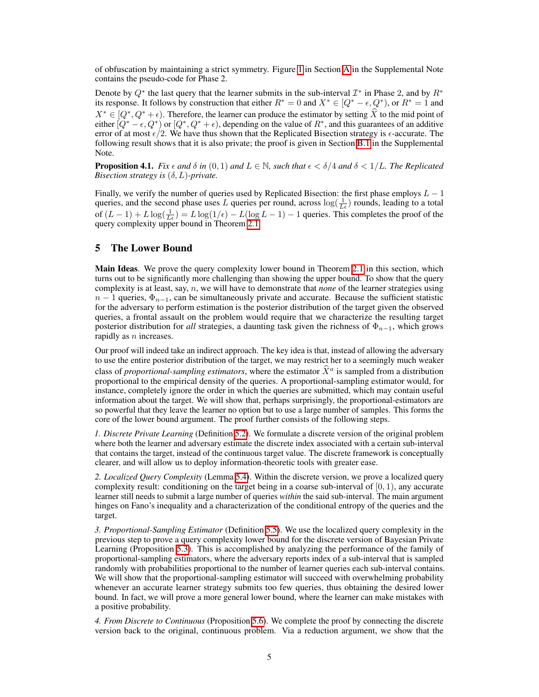of obfuscation by maintaining a strict symmetry. Figure  $\prod$  in Section [A](#page-0-1) in the Supplemental Note contains the pseudo-code for Phase 2.

Denote by  $Q^*$  the last query that the learner submits in the sub-interval  $\mathcal{I}^*$  in Phase 2, and by  $R^*$ its response. It follows by construction that either  $R^* = 0$  and  $X^* \in [Q^* - \epsilon, Q^*)$ , or  $R^* = 1$  and  $X^* \in [Q^*, Q^* + \epsilon)$ . Therefore, the learner can produce the estimator by setting  $\hat{X}$  to the mid point of either  $[Q^* - \epsilon, Q^*)$  or  $[Q^*, Q^* + \epsilon)$ , depending on the value of  $R^*$ , and this guarantees of an additive error of at most  $\epsilon/2$ . We have thus shown that the Replicated Bisection strategy is  $\epsilon$ -accurate. The following result shows that it is also private; the proof is given in Section  $\boxed{B.1}$  in the Supplemental Note.

**Proposition 4.1.** *Fix*  $\epsilon$  *and*  $\delta$  *in* (0, 1) *and*  $L \in \mathbb{N}$ *, such that*  $\epsilon < \delta/4$  *and*  $\delta < 1/L$ *. The Replicated Bisection strategy is*  $(\delta, L)$ *-private.* 

Finally, we verify the number of queries used by Replicated Bisection: the first phase employs  $L - 1$ queries, and the second phase uses *L* queries per round, across  $log(\frac{1}{L_{\epsilon}})$  rounds, leading to a total of  $(L-1) + L \log(\frac{1}{L\epsilon}) = L \log(1/\epsilon) - L(\log L - 1) - 1$  queries. This completes the proof of the query complexity upper bound in Theorem [2.1.](#page-2-1)

## 5 The Lower Bound

**Main Ideas.** We prove the query complexity lower bound in Theorem [2.1](#page-2-1) in this section, which turns out to be significantly more challenging than showing the upper bound. To show that the query complexity is at least, say, *n*, we will have to demonstrate that *none* of the learner strategies using  $n-1$  queries,  $\Phi_{n-1}$ , can be simultaneously private and accurate. Because the sufficient statistic for the adversary to perform estimation is the posterior distribution of the target given the observed queries, a frontal assault on the problem would require that we characterize the resulting target posterior distribution for *all* strategies, a daunting task given the richness of  $\Phi_{n-1}$ , which grows rapidly as *n* increases.

Our proof will indeed take an indirect approach. The key idea is that, instead of allowing the adversary to use the entire posterior distribution of the target, we may restrict her to a seemingly much weaker class of *proportional-sampling estimators*, where the estimator  $\hat{X}^a$  is sampled from a distribution proportional to the empirical density of the queries. A proportional-sampling estimator would, for instance, completely ignore the order in which the queries are submitted, which may contain useful information about the target. We will show that, perhaps surprisingly, the proportional-estimators are so powerful that they leave the learner no option but to use a large number of samples. This forms the core of the lower bound argument. The proof further consists of the following steps.

*1. Discrete Private Learning* (Definition [5.2\)](#page-5-0). We formulate a discrete version of the original problem where both the learner and adversary estimate the discrete index associated with a certain sub-interval that contains the target, instead of the continuous target value. The discrete framework is conceptually clearer, and will allow us to deploy information-theoretic tools with greater ease.

*2. Localized Query Complexity* (Lemma [5.4\)](#page-6-0). Within the discrete version, we prove a localized query complexity result: conditioning on the target being in a coarse sub-interval of  $[0, 1)$ , any accurate learner still needs to submit a large number of queries *within* the said sub-interval. The main argument hinges on Fano's inequality and a characterization of the conditional entropy of the queries and the target.

*3. Proportional-Sampling Estimator* (Definition [5.5\)](#page-6-1). We use the localized query complexity in the previous step to prove a query complexity lower bound for the discrete version of Bayesian Private Learning (Proposition [5.3\)](#page-5-1). This is accomplished by analyzing the performance of the family of proportional-sampling estimators, where the adversary reports index of a sub-interval that is sampled randomly with probabilities proportional to the number of learner queries each sub-interval contains. We will show that the proportional-sampling estimator will succeed with overwhelming probability whenever an accurate learner strategy submits too few queries, thus obtaining the desired lower bound. In fact, we will prove a more general lower bound, where the learner can make mistakes with a positive probability.

*4. From Discrete to Continuous* (Proposition [5.6\)](#page-7-0). We complete the proof by connecting the discrete version back to the original, continuous problem. Via a reduction argument, we show that the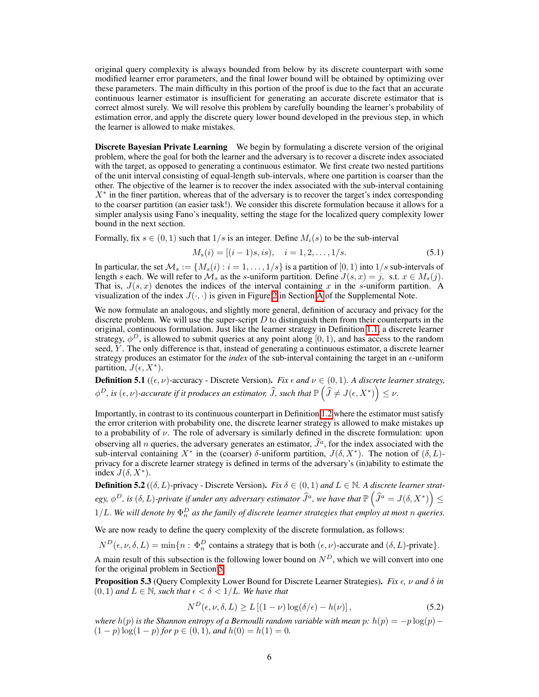original query complexity is always bounded from below by its discrete counterpart with some modified learner error parameters, and the final lower bound will be obtained by optimizing over these parameters. The main difficulty in this portion of the proof is due to the fact that an accurate continuous learner estimator is insufficient for generating an accurate discrete estimator that is correct almost surely. We will resolve this problem by carefully bounding the learner's probability of estimation error, and apply the discrete query lower bound developed in the previous step, in which the learner is allowed to make mistakes.

**Discrete Bayesian Private Learning** We begin by formulating a discrete version of the original problem, where the goal for both the learner and the adversary is to recover a discrete index associated with the target, as opposed to generating a continuous estimator. We first create two nested partitions of the unit interval consisting of equal-length sub-intervals, where one partition is coarser than the other. The objective of the learner is to recover the index associated with the sub-interval containing  $X^*$  in the finer partition, whereas that of the adversary is to recover the target's index corresponding to the coarser partition (an easier task!). We consider this discrete formulation because it allows for a simpler analysis using Fano's inequality, setting the stage for the localized query complexity lower bound in the next section.

Formally, fix  $s \in (0, 1)$  such that  $1/s$  is an integer. Define  $M_i(s)$  to be the sub-interval

$$
M_s(i) = [(i-1)s, is), \quad i = 1, 2, \dots, 1/s.
$$
\n(5.1)

In particular, the set  $\mathcal{M}_s := \{M_s(i) : i = 1, \ldots, 1/s\}$  is a partition of  $[0, 1)$  into  $1/s$  sub-intervals of length *s* each. We will refer to  $\mathcal{M}_s$  as the *s*-uniform partition. Define  $J(s, x) = j$ , s.t.  $x \in M_s(j)$ . That is,  $J(s, x)$  denotes the indices of the interval containing x in the *s*-uniform partition. A visualization of the index  $J(\cdot, \cdot)$  is given in Figure  $2$  in Section [A](#page-0-1) of the Supplemental Note.

We now formulate an analogous, and slightly more general, definition of accuracy and privacy for the discrete problem. We will use the super-script *D* to distinguish them from their counterparts in the original, continuous formulation. Just like the learner strategy in Definition  $\overline{1.1}$ , a discrete learner strategy,  $\phi^D$ , is allowed to submit queries at any point along [0, 1), and has access to the random seed, *Y* . The only difference is that, instead of generating a continuous estimator, a discrete learner strategy produces an estimator for the *index* of the sub-interval containing the target in an  $\epsilon$ -uniform partition,  $J(\epsilon, X^*)$ .

**Definition 5.1** (( $\epsilon$ ,  $\nu$ )-accuracy - Discrete Version). *Fix*  $\epsilon$  *and*  $\nu \in (0,1)$ *. A discrete learner strategy,*  $\phi^D$ , is  $(\epsilon, \nu)$ -accurate if it produces an estimator,  $\widehat{J}$ , such that  $\mathbb{P}\left(\widehat{J} \neq J(\epsilon, X^*)\right) \leq \nu.$ 

Importantly, in contrast to its continuous counterpart in Definition  $\boxed{1.2}$  where the estimator must satisfy the error criterion with probability one, the discrete learner strategy is allowed to make mistakes up to a probability of  $\nu$ . The role of adversary is similarly defined in the discrete formulation: upon observing all *n* queries, the adversary generates an estimator,  $\hat{J}^a$ , for the index associated with the sub-interval containing  $X^*$  in the (coarser)  $\delta$ -uniform partition,  $J(\delta, X^*)$ . The notion of  $(\delta, L)$ privacy for a discrete learner strategy is defined in terms of the adversary's (in)ability to estimate the index  $J(\delta, X^*)$ .

<span id="page-5-0"></span>**Definition 5.2** (( $\delta$ , L)-privacy - Discrete Version). *Fix*  $\delta \in (0,1)$  *and*  $L \in \mathbb{N}$ . A discrete learner strat $e$ gy,  $\phi^D$ , is  $(\delta, L)$ -private if under any adversary estimator  $\widehat{J}^a$ , we have that  $\mathbb{P}\left(\widehat{J}^a = J(\delta, X^*)\right)$  $\leq$  $1/L$ . We will denote by  $\Phi_n^D$  as the family of discrete learner strategies that employ at most  $n$  queries.

We are now ready to define the query complexity of the discrete formulation, as follows:

 $N^D(\epsilon, \nu, \delta, L) = \min\{n : \Phi_n^D \text{ contains a strategy that is both } (\epsilon, \nu) \text{-accurate and } (\delta, L) \text{-private} \}.$ 

A main result of this subsection is the following lower bound on  $N<sup>D</sup>$ , which we will convert into one for the original problem in Section [5.](#page-7-1)

<span id="page-5-1"></span>**Proposition 5.3** (Query Complexity Lower Bound for Discrete Learner Strategies). *Fix*  $\epsilon$ ,  $\nu$  and  $\delta$  *in*  $(0, 1)$  *and*  $L \in \mathbb{N}$ *, such that*  $\epsilon < \delta < 1/L$ *. We have that* 

$$
N^{D}(\epsilon, \nu, \delta, L) \ge L\left[ (1 - \nu) \log(\delta/\epsilon) - h(\nu) \right],
$$
\n(5.2)

*where*  $h(p)$  *is the Shannon entropy of a Bernoulli random variable with mean p:*  $h(p) = -p \log(p)$  $(1-p) \log(1-p)$  for  $p \in (0,1)$ *, and*  $h(0) = h(1) = 0$ .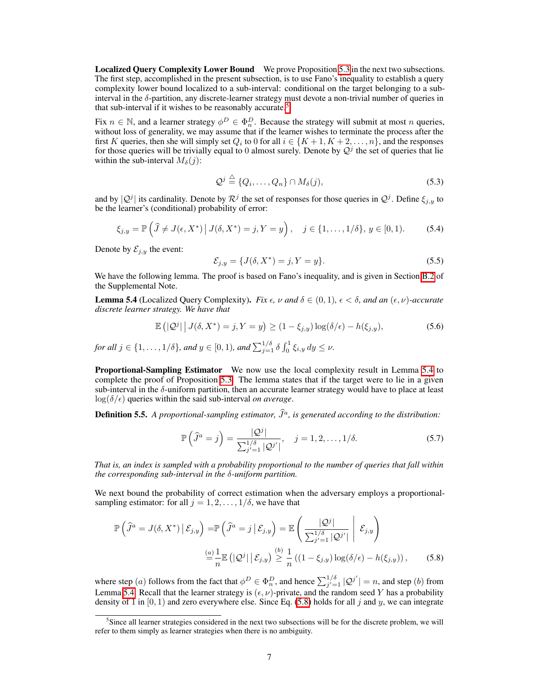**Localized Ouery Complexity Lower Bound** We prove Proposition  $\overline{5.3}$  in the next two subsections. The first step, accomplished in the present subsection, is to use Fano's inequality to establish a query complexity lower bound localized to a sub-interval: conditional on the target belonging to a subinterval in the  $\delta$ -partition, any discrete-learner strategy must devote a non-trivial number of queries in that sub-interval if it wishes to be reasonably accurate.<sup>5</sup>

Fix  $n \in \mathbb{N}$ , and a learner strategy  $\phi^D \in \Phi_n^D$ . Because the strategy will submit at most *n* queries, without loss of generality, we may assume that if the learner wishes to terminate the process after the first *K* queries, then she will simply set  $Q_i$  to 0 for all  $i \in \{K+1, K+2, \ldots, n\}$ , and the responses for those queries will be trivially equal to 0 almost surely. Denote by  $\mathcal{Q}^j$  the set of queries that lie within the sub-interval  $M_{\delta}(j)$ :

$$
\mathcal{Q}^j \stackrel{\triangle}{=} \{Q_i, \dots, Q_n\} \cap M_{\delta}(j), \tag{5.3}
$$

and by  $|Q^j|$  its cardinality. Denote by  $R^j$  the set of responses for those queries in  $Q^j$ . Define  $\xi_{j,y}$  to be the learner's (conditional) probability of error:

$$
\xi_{j,y} = \mathbb{P}\left(\hat{J} \neq J(\epsilon, X^*) \mid J(\delta, X^*) = j, Y = y\right), \quad j \in \{1, \dots, 1/\delta\}, y \in [0, 1).
$$
 (5.4)

Denote by  $\mathcal{E}_{j,y}$  the event:

$$
\mathcal{E}_{j,y} = \{J(\delta, X^*) = j, Y = y\}.
$$
\n(5.5)

We have the following lemma. The proof is based on Fano's inequality, and is given in Section  $\boxed{B.2}$  of the Supplemental Note.

<span id="page-6-0"></span>**Lemma 5.4** (Localized Query Complexity). *Fix*  $\epsilon$ ,  $\nu$  and  $\delta \in (0,1)$ ,  $\epsilon < \delta$ , and an  $(\epsilon, \nu)$ *-accurate discrete learner strategy. We have that*

$$
\mathbb{E}\left(|\mathcal{Q}^j|\,\big|\,J(\delta,X^*)=j,Y=y\right)\geq(1-\xi_{j,y})\log(\delta/\epsilon)-h(\xi_{j,y}),\tag{5.6}
$$

*for all*  $j \in \{1, ..., 1/\delta\}$ *, and*  $y \in [0, 1)$ *, and*  $\sum_{j=1}^{1/\delta} \delta \int_0^1 \xi_{i,y} dy \le \nu$ .

Proportional-Sampling Estimator We now use the local complexity result in Lemma [5.4](#page-6-0) to complete the proof of Proposition  $\overline{5.3}$ . The lemma states that if the target were to lie in a given sub-interval in the  $\delta$ -uniform partition, then an accurate learner strategy would have to place at least  $\log(\delta/\epsilon)$  queries within the said sub-interval *on average*.

<span id="page-6-1"></span>**Definition 5.5.** A proportional-sampling estimator,  $\hat{J}^a$ , is generated according to the distribution:

<span id="page-6-3"></span>
$$
\mathbb{P}\left(\widehat{J}^a=j\right) = \frac{|\mathcal{Q}^j|}{\sum_{j'=1}^{1/\delta} |\mathcal{Q}^{j'}|}, \quad j=1,2,\ldots,1/\delta. \tag{5.7}
$$

*That is, an index is sampled with a probability proportional to the number of queries that fall within*  $the$  *corresponding sub-interval in the*  $\delta$ -*uniform partition.* 

We next bound the probability of correct estimation when the adversary employs a proportionalsampling estimator: for all  $j = 1, 2, \ldots, 1/\delta$ , we have that

$$
\mathbb{P}\left(\hat{J}^{a} = J(\delta, X^{*}) \,|\, \mathcal{E}_{j,y}\right) = \mathbb{P}\left(\hat{J}^{a} = j \,|\, \mathcal{E}_{j,y}\right) = \mathbb{E}\left(\left|\frac{\mathcal{Q}^{j}}{\sum_{j'=1}^{1/\delta} |\mathcal{Q}^{j'}|} \,|\, \mathcal{E}_{j,y}\right)\right)
$$
\n
$$
\stackrel{(a)}{=} \frac{1}{n} \mathbb{E}\left(|\mathcal{Q}^{j}| \,|\, \mathcal{E}_{j,y}\right) \stackrel{(b)}{\geq} \frac{1}{n} \left((1 - \xi_{j,y})\log(\delta/\epsilon) - h(\xi_{j,y})\right),\tag{5.8}
$$

where step (*a*) follows from the fact that  $\phi^D \in \Phi_n^D$ , and hence  $\sum_{j'=1}^{1/\delta} |\mathcal{Q}^{j'}| = n$ , and step (*b*) from Lemma [5.4.](#page-6-0) Recall that the learner strategy is  $(\epsilon, \nu)$ -private, and the random seed *Y* has a probability density  $\overline{0f}$  in [0, 1) and zero everywhere else. Since Eq. ( $\overline{5.8}$ ) holds for all *j* and *y*, we can integrate

<span id="page-6-2"></span><sup>&</sup>lt;sup>5</sup>Since all learner strategies considered in the next two subsections will be for the discrete problem, we will refer to them simply as learner strategies when there is no ambiguity.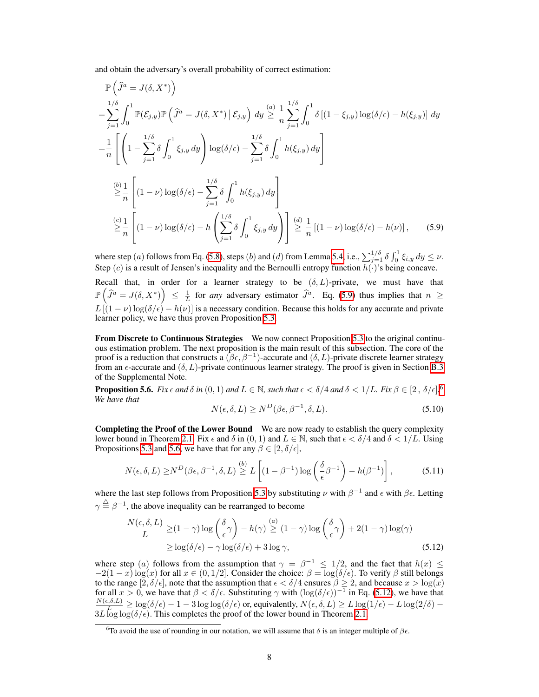and obtain the adversary's overall probability of correct estimation:

 $\lambda$ 

$$
\mathbb{P}\left(\hat{J}^{a} = J(\delta, X^{*})\right)
$$
\n
$$
= \sum_{j=1}^{1/\delta} \int_{0}^{1} \mathbb{P}(\mathcal{E}_{j,y}) \mathbb{P}\left(\hat{J}^{a} = J(\delta, X^{*}) \mid \mathcal{E}_{j,y}\right) dy \stackrel{(a)}{\geq} \frac{1}{n} \sum_{j=1}^{1/\delta} \int_{0}^{1} \delta \left[ (1 - \xi_{j,y}) \log(\delta/\epsilon) - h(\xi_{j,y}) \right] dy
$$
\n
$$
= \frac{1}{n} \left[ \left( 1 - \sum_{j=1}^{1/\delta} \delta \int_{0}^{1} \xi_{j,y} dy \right) \log(\delta/\epsilon) - \sum_{j=1}^{1/\delta} \delta \int_{0}^{1} h(\xi_{j,y}) dy \right]
$$
\n
$$
\stackrel{(b)}{\geq} \frac{1}{n} \left[ (1 - \nu) \log(\delta/\epsilon) - \sum_{j=1}^{1/\delta} \delta \int_{0}^{1} h(\xi_{j,y}) dy \right]
$$
\n
$$
\stackrel{(c)}{\geq} \frac{1}{n} \left[ (1 - \nu) \log(\delta/\epsilon) - h \left( \sum_{j=1}^{1/\delta} \delta \int_{0}^{1} \xi_{j,y} dy \right) \right] \stackrel{(d)}{\geq} \frac{1}{n} \left[ (1 - \nu) \log(\delta/\epsilon) - h(\nu) \right], \quad (5.9)
$$

where step (*a*) follows from Eq. [\(5.8\)](#page-6-3), steps (*b*) and (*d*) from Lemma [5.4,](#page-6-0) i.e.,  $\sum_{j=1}^{1/\delta} \delta \int_0^1 \xi_{i,y} dy \le \nu$ . Step (*c*) is a result of Jensen's inequality and the Bernoulli entropy function  $h(\cdot)$ 's being concave.

Recall that, in order for a learner strategy to be  $(\delta, L)$ -private, we must have that  $\mathbb{P}\left(\widehat{J}^a = J(\delta, X^*)\right) \leq \frac{1}{L}$  for *any* adversary estimator  $\widehat{J}^a$ . Eq. [\(5.9\)](#page-7-2) thus implies that  $n \geq$  $L\left[ (1 - \nu) \log(\delta/\epsilon) - h(\nu) \right]$  is a necessary condition. Because this holds for any accurate and private learner policy, we have thus proven Proposition [5.3.](#page-5-1)

<span id="page-7-1"></span>From Discrete to Continuous Strategies We now connect Proposition [5.3](#page-5-1) to the original continuous estimation problem. The next proposition is the main result of this subsection. The core of the proof is a reduction that constructs a  $(\beta \epsilon, \beta^{-1})$ -accurate and  $(\delta, L)$ -private discrete learner strategy from an  $\epsilon$ -accurate and  $(\delta, L)$ -private continuous learner strategy. The proof is given in Section  $\overline{B.3}$ of the Supplemental Note.

<span id="page-7-0"></span>**Proposition 5.[6](#page-7-3).** Fix  $\epsilon$  and  $\delta$  in  $(0,1)$  and  $L \in \mathbb{N}$ , such that  $\epsilon < \delta/4$  and  $\delta < 1/L$ . Fix  $\beta \in [2, \ \delta/\epsilon]$   $\frac{[6, 1]}{[6, 1]}$ *We have that*

<span id="page-7-4"></span><span id="page-7-2"></span>
$$
N(\epsilon, \delta, L) \ge N^D(\beta \epsilon, \beta^{-1}, \delta, L). \tag{5.10}
$$

Completing the Proof of the Lower Bound We are now ready to establish the query complexity lower bound in Theorem  $2.1$ . Fix  $\epsilon$  and  $\delta$  in  $(0,1)$  and  $L \in \mathbb{N}$ , such that  $\epsilon < \delta/4$  and  $\delta < 1/L$ . Using Propositions **5.3** and **5.6**, we have that for any  $\beta \in [2, \delta/\epsilon]$ ,

$$
N(\epsilon, \delta, L) \ge N^D(\beta \epsilon, \beta^{-1}, \delta, L) \stackrel{(b)}{\ge} L\left[ (1 - \beta^{-1}) \log \left( \frac{\delta}{\epsilon} \beta^{-1} \right) - h(\beta^{-1}) \right],\tag{5.11}
$$

where the last step follows from Proposition [5.3](#page-5-1) by substituting  $\nu$  with  $\beta^{-1}$  and  $\epsilon$  with  $\beta\epsilon$ . Letting  $\gamma \stackrel{\triangle}{=} \beta^{-1}$ , the above inequality can be rearranged to become

$$
\frac{N(\epsilon, \delta, L)}{L} \ge (1 - \gamma) \log \left(\frac{\delta}{\epsilon} \gamma\right) - h(\gamma) \stackrel{(a)}{\ge} (1 - \gamma) \log \left(\frac{\delta}{\epsilon} \gamma\right) + 2(1 - \gamma) \log(\gamma)
$$
  
 
$$
\ge \log(\delta/\epsilon) - \gamma \log(\delta/\epsilon) + 3 \log \gamma,
$$
 (5.12)

where step (*a*) follows from the assumption that  $\gamma = \beta^{-1} \le 1/2$ , and the fact that  $h(x) \le$  $-2(1-x)\log(x)$  for all  $x \in (0,1/2]$ . Consider the choice:  $\beta = \log(\delta/\epsilon)$ . To verify  $\beta$  still belongs to the range  $[2, \delta/\epsilon]$ , note that the assumption that  $\epsilon < \delta/4$  ensures  $\beta \ge 2$ , and because  $x > \log(x)$  for all  $x > 0$ , we have that  $\beta < \delta/\epsilon$ . Substituting  $\gamma$  with  $(\log(\delta/\epsilon))^{-1}$  in Eq. [\(5.12\)](#page-7-4), we have that  $\frac{N(\epsilon,\delta,L)}{L} \ge \log(\delta/\epsilon) - 1 - 3 \log \log(\delta/\epsilon)$  or, equivalently,  $N(\epsilon,\delta,L) \ge L \log(1/\epsilon) - L \log(2/\delta) - 3L \log \log(\delta/\epsilon)$ . This completes the proof of the lower bound in Theorem  $\boxed{2.1}$ .

<span id="page-7-3"></span><sup>&</sup>lt;sup>6</sup>To avoid the use of rounding in our notation, we will assume that  $\delta$  is an integer multiple of  $\beta \epsilon$ .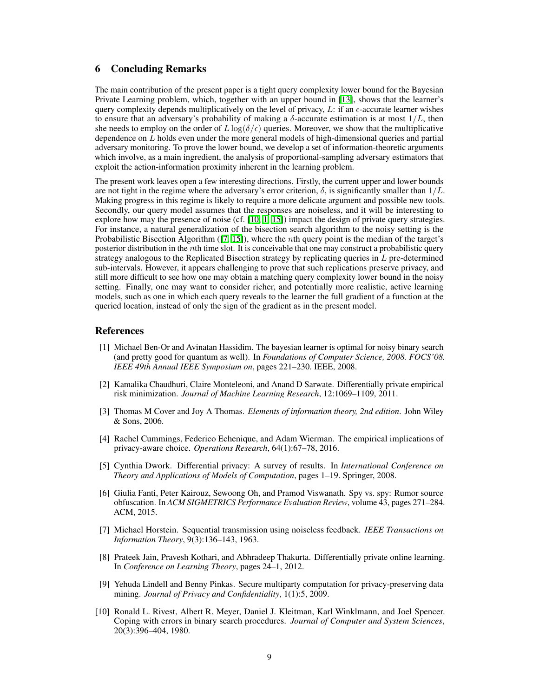## 6 Concluding Remarks

The main contribution of the present paper is a tight query complexity lower bound for the Bayesian Private Learning problem, which, together with an upper bound in [\[13\]](#page-9-1), shows that the learner's query complexity depends multiplicatively on the level of privacy,  $L$ : if an  $\epsilon$ -accurate learner wishes to ensure that an adversary's probability of making a  $\delta$ -accurate estimation is at most  $1/L$ , then she needs to employ on the order of  $L \log(\delta/\epsilon)$  queries. Moreover, we show that the multiplicative dependence on *L* holds even under the more general models of high-dimensional queries and partial adversary monitoring. To prove the lower bound, we develop a set of information-theoretic arguments which involve, as a main ingredient, the analysis of proportional-sampling adversary estimators that exploit the action-information proximity inherent in the learning problem.

The present work leaves open a few interesting directions. Firstly, the current upper and lower bounds are not tight in the regime where the adversary's error criterion,  $\delta$ , is significantly smaller than  $1/L$ . Making progress in this regime is likely to require a more delicate argument and possible new tools. Secondly, our query model assumes that the responses are noiseless, and it will be interesting to explore how may the presence of noise (cf.  $\pi$ ,  $\pi$ ) impact the design of private query strategies. For instance, a natural generalization of the bisection search algorithm to the noisy setting is the Probabilistic Bisection Algorithm ([\[7,](#page-8-0) [15\]](#page-9-4)), where the *n*th query point is the median of the target's posterior distribution in the *n*th time slot. It is conceivable that one may construct a probabilistic query strategy analogous to the Replicated Bisection strategy by replicating queries in *L* pre-determined sub-intervals. However, it appears challenging to prove that such replications preserve privacy, and still more difficult to see how one may obtain a matching query complexity lower bound in the noisy setting. Finally, one may want to consider richer, and potentially more realistic, active learning models, such as one in which each query reveals to the learner the full gradient of a function at the queried location, instead of only the sign of the gradient as in the present model.

## References

- <span id="page-8-2"></span>[1] Michael Ben-Or and Avinatan Hassidim. The bayesian learner is optimal for noisy binary search (and pretty good for quantum as well). In *Foundations of Computer Science, 2008. FOCS'08. IEEE 49th Annual IEEE Symposium on*, pages 221–230. IEEE, 2008.
- <span id="page-8-7"></span>[2] Kamalika Chaudhuri, Claire Monteleoni, and Anand D Sarwate. Differentially private empirical risk minimization. *Journal of Machine Learning Research*, 12:1069–1109, 2011.
- <span id="page-8-9"></span>[3] Thomas M Cover and Joy A Thomas. *Elements of information theory, 2nd edition*. John Wiley & Sons, 2006.
- <span id="page-8-6"></span>[4] Rachel Cummings, Federico Echenique, and Adam Wierman. The empirical implications of privacy-aware choice. *Operations Research*, 64(1):67–78, 2016.
- <span id="page-8-3"></span>[5] Cynthia Dwork. Differential privacy: A survey of results. In *International Conference on Theory and Applications of Models of Computation*, pages 1–19. Springer, 2008.
- <span id="page-8-5"></span>[6] Giulia Fanti, Peter Kairouz, Sewoong Oh, and Pramod Viswanath. Spy vs. spy: Rumor source obfuscation. In *ACM SIGMETRICS Performance Evaluation Review*, volume 43, pages 271–284. ACM, 2015.
- <span id="page-8-0"></span>[7] Michael Horstein. Sequential transmission using noiseless feedback. *IEEE Transactions on Information Theory*, 9(3):136–143, 1963.
- <span id="page-8-8"></span>[8] Prateek Jain, Pravesh Kothari, and Abhradeep Thakurta. Differentially private online learning. In *Conference on Learning Theory*, pages 24–1, 2012.
- <span id="page-8-4"></span>[9] Yehuda Lindell and Benny Pinkas. Secure multiparty computation for privacy-preserving data mining. *Journal of Privacy and Confidentiality*, 1(1):5, 2009.
- <span id="page-8-1"></span>[10] Ronald L. Rivest, Albert R. Meyer, Daniel J. Kleitman, Karl Winklmann, and Joel Spencer. Coping with errors in binary search procedures. *Journal of Computer and System Sciences*, 20(3):396–404, 1980.